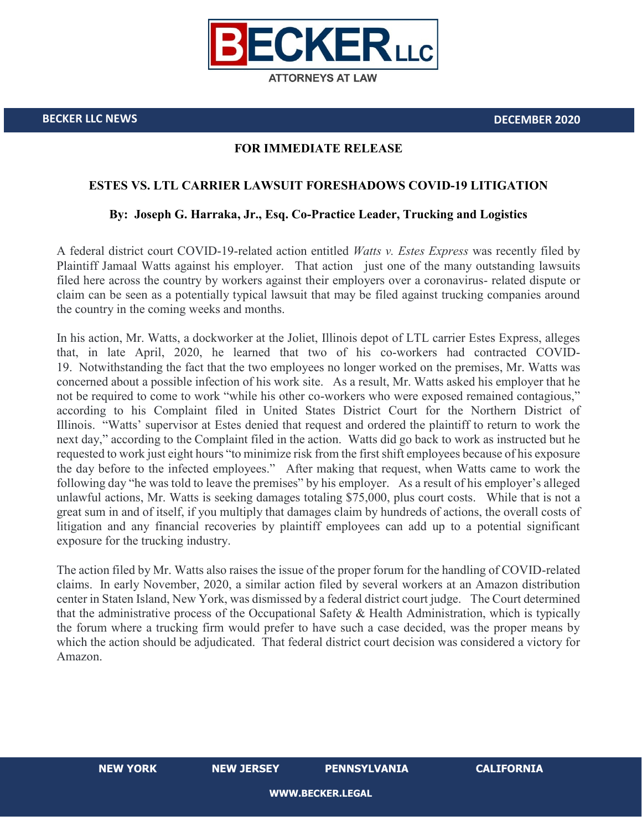

**BECKER LLC NEWS DECEMBER 2020**

## **FOR IMMEDIATE RELEASE**

## **ESTES VS. LTL CARRIER LAWSUIT FORESHADOWS COVID-19 LITIGATION**

## **By: Joseph G. Harraka, Jr., Esq. Co-Practice Leader, Trucking and Logistics**

A federal district court COVID-19-related action entitled *Watts v. Estes Express* was recently filed by Plaintiff Jamaal Watts against his employer. That action just one of the many outstanding lawsuits filed here across the country by workers against their employers over a coronavirus- related dispute or claim can be seen as a potentially typical lawsuit that may be filed against trucking companies around the country in the coming weeks and months.

In his action, Mr. Watts, a dockworker at the Joliet, Illinois depot of LTL carrier Estes Express, alleges that, in late April, 2020, he learned that two of his co-workers had contracted COVID-19. Notwithstanding the fact that the two employees no longer worked on the premises, Mr. Watts was concerned about a possible infection of his work site. As a result, Mr. Watts asked his employer that he not be required to come to work "while his other co-workers who were exposed remained contagious," according to his Complaint filed in United States District Court for the Northern District of Illinois. "Watts' supervisor at Estes denied that request and ordered the plaintiff to return to work the next day," according to the Complaint filed in the action. Watts did go back to work as instructed but he requested to work just eight hours "to minimize risk from the first shift employees because of his exposure the day before to the infected employees." After making that request, when Watts came to work the following day "he was told to leave the premises" by his employer. As a result of his employer's alleged unlawful actions, Mr. Watts is seeking damages totaling \$75,000, plus court costs. While that is not a great sum in and of itself, if you multiply that damages claim by hundreds of actions, the overall costs of litigation and any financial recoveries by plaintiff employees can add up to a potential significant exposure for the trucking industry.

The action filed by Mr. Watts also raises the issue of the proper forum for the handling of COVID-related claims. In early November, 2020, a similar action filed by several workers at an Amazon distribution center in Staten Island, New York, was dismissed by a federal district court judge. The Court determined that the administrative process of the Occupational Safety & Health Administration, which is typically the forum where a trucking firm would prefer to have such a case decided, was the proper means by which the action should be adjudicated. That federal district court decision was considered a victory for Amazon.